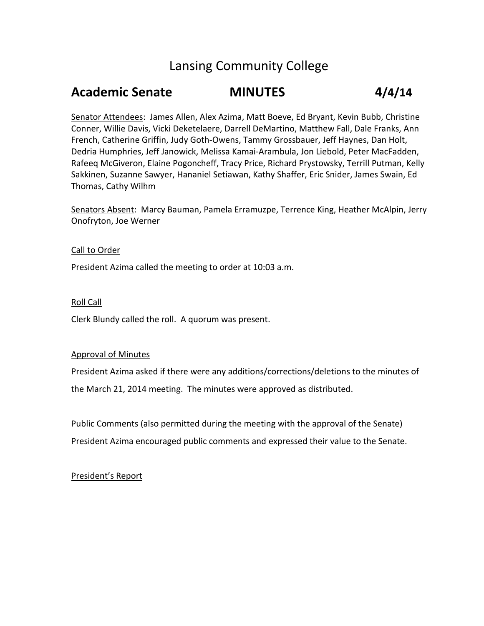### Lansing Community College

## **Academic Senate MINUTES 4/4/14**

Senator Attendees: James Allen, Alex Azima, Matt Boeve, Ed Bryant, Kevin Bubb, Christine Conner, Willie Davis, Vicki Deketelaere, Darrell DeMartino, Matthew Fall, Dale Franks, Ann French, Catherine Griffin, Judy Goth-Owens, Tammy Grossbauer, Jeff Haynes, Dan Holt, Dedria Humphries, Jeff Janowick, Melissa Kamai-Arambula, Jon Liebold, Peter MacFadden, Rafeeq McGiveron, Elaine Pogoncheff, Tracy Price, Richard Prystowsky, Terrill Putman, Kelly Sakkinen, Suzanne Sawyer, Hananiel Setiawan, Kathy Shaffer, Eric Snider, James Swain, Ed Thomas, Cathy Wilhm

Senators Absent: Marcy Bauman, Pamela Erramuzpe, Terrence King, Heather McAlpin, Jerry Onofryton, Joe Werner

#### Call to Order

President Azima called the meeting to order at 10:03 a.m.

#### Roll Call

Clerk Blundy called the roll. A quorum was present.

#### Approval of Minutes

President Azima asked if there were any additions/corrections/deletions to the minutes of the March 21, 2014 meeting. The minutes were approved as distributed.

Public Comments (also permitted during the meeting with the approval of the Senate) President Azima encouraged public comments and expressed their value to the Senate.

President's Report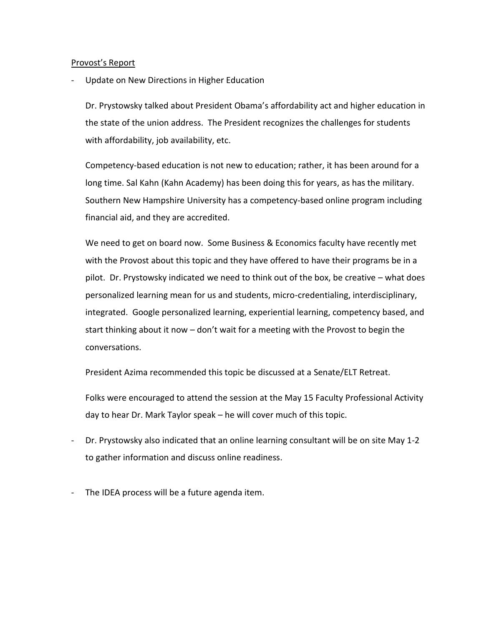#### Provost's Report

Update on New Directions in Higher Education

Dr. Prystowsky talked about President Obama's affordability act and higher education in the state of the union address. The President recognizes the challenges for students with affordability, job availability, etc.

Competency-based education is not new to education; rather, it has been around for a long time. Sal Kahn (Kahn Academy) has been doing this for years, as has the military. Southern New Hampshire University has a competency-based online program including financial aid, and they are accredited.

We need to get on board now. Some Business & Economics faculty have recently met with the Provost about this topic and they have offered to have their programs be in a pilot. Dr. Prystowsky indicated we need to think out of the box, be creative – what does personalized learning mean for us and students, micro-credentialing, interdisciplinary, integrated. Google personalized learning, experiential learning, competency based, and start thinking about it now – don't wait for a meeting with the Provost to begin the conversations.

President Azima recommended this topic be discussed at a Senate/ELT Retreat.

Folks were encouraged to attend the session at the May 15 Faculty Professional Activity day to hear Dr. Mark Taylor speak – he will cover much of this topic.

- Dr. Prystowsky also indicated that an online learning consultant will be on site May 1-2 to gather information and discuss online readiness.
- The IDEA process will be a future agenda item.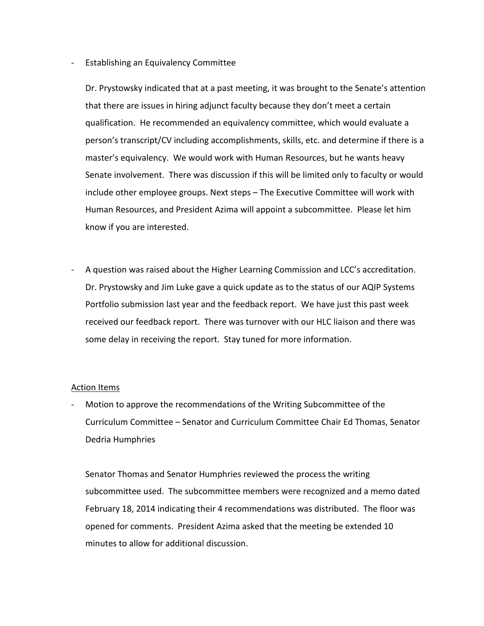#### - Establishing an Equivalency Committee

Dr. Prystowsky indicated that at a past meeting, it was brought to the Senate's attention that there are issues in hiring adjunct faculty because they don't meet a certain qualification. He recommended an equivalency committee, which would evaluate a person's transcript/CV including accomplishments, skills, etc. and determine if there is a master's equivalency. We would work with Human Resources, but he wants heavy Senate involvement. There was discussion if this will be limited only to faculty or would include other employee groups. Next steps – The Executive Committee will work with Human Resources, and President Azima will appoint a subcommittee. Please let him know if you are interested.

A question was raised about the Higher Learning Commission and LCC's accreditation. Dr. Prystowsky and Jim Luke gave a quick update as to the status of our AQIP Systems Portfolio submission last year and the feedback report. We have just this past week received our feedback report. There was turnover with our HLC liaison and there was some delay in receiving the report. Stay tuned for more information.

#### Action Items

- Motion to approve the recommendations of the Writing Subcommittee of the Curriculum Committee – Senator and Curriculum Committee Chair Ed Thomas, Senator Dedria Humphries

Senator Thomas and Senator Humphries reviewed the process the writing subcommittee used. The subcommittee members were recognized and a memo dated February 18, 2014 indicating their 4 recommendations was distributed. The floor was opened for comments. President Azima asked that the meeting be extended 10 minutes to allow for additional discussion.